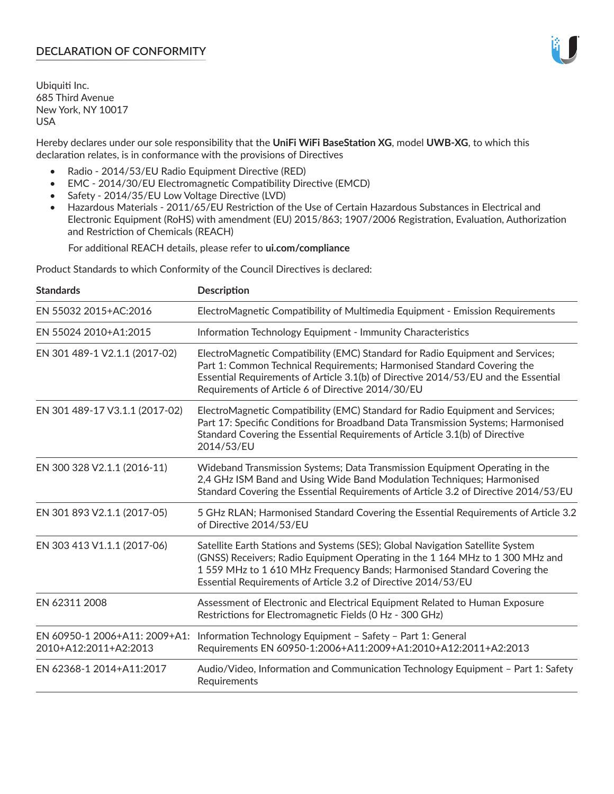# **DECLARATION OF CONFORMITY**

Ubiquiti Inc. 685 Third Avenue New York, NY 10017 USA

Hereby declares under our sole responsibility that the **UniFi WiFi BaseStation XG**, model **UWB-XG**, to which this declaration relates, is in conformance with the provisions of Directives

- Radio 2014/53/EU Radio Equipment Directive (RED)
- EMC 2014/30/EU Electromagnetic Compatibility Directive (EMCD)
- Safety 2014/35/EU Low Voltage Directive (LVD)
- Hazardous Materials 2011/65/EU Restriction of the Use of Certain Hazardous Substances in Electrical and Electronic Equipment (RoHS) with amendment (EU) 2015/863; 1907/2006 Registration, Evaluation, Authorization and Restriction of Chemicals (REACH)

For additional REACH details, please refer to **ui.com/compliance**

Product Standards to which Conformity of the Council Directives is declared:

| <b>Standards</b>                                       | <b>Description</b>                                                                                                                                                                                                                                                                                         |
|--------------------------------------------------------|------------------------------------------------------------------------------------------------------------------------------------------------------------------------------------------------------------------------------------------------------------------------------------------------------------|
| EN 55032 2015+AC:2016                                  | ElectroMagnetic Compatibility of Multimedia Equipment - Emission Requirements                                                                                                                                                                                                                              |
| EN 55024 2010+A1:2015                                  | Information Technology Equipment - Immunity Characteristics                                                                                                                                                                                                                                                |
| EN 301 489-1 V2.1.1 (2017-02)                          | ElectroMagnetic Compatibility (EMC) Standard for Radio Equipment and Services;<br>Part 1: Common Technical Requirements; Harmonised Standard Covering the<br>Essential Requirements of Article 3.1(b) of Directive 2014/53/EU and the Essential<br>Requirements of Article 6 of Directive 2014/30/EU       |
| EN 301 489-17 V3.1.1 (2017-02)                         | ElectroMagnetic Compatibility (EMC) Standard for Radio Equipment and Services;<br>Part 17: Specific Conditions for Broadband Data Transmission Systems; Harmonised<br>Standard Covering the Essential Requirements of Article 3.1(b) of Directive<br>2014/53/EU                                            |
| EN 300 328 V2.1.1 (2016-11)                            | Wideband Transmission Systems; Data Transmission Equipment Operating in the<br>2,4 GHz ISM Band and Using Wide Band Modulation Techniques; Harmonised<br>Standard Covering the Essential Requirements of Article 3.2 of Directive 2014/53/EU                                                               |
| EN 301 893 V2.1.1 (2017-05)                            | 5 GHz RLAN; Harmonised Standard Covering the Essential Requirements of Article 3.2<br>of Directive 2014/53/EU                                                                                                                                                                                              |
| EN 303 413 V1.1.1 (2017-06)                            | Satellite Earth Stations and Systems (SES); Global Navigation Satellite System<br>(GNSS) Receivers; Radio Equipment Operating in the 1 164 MHz to 1 300 MHz and<br>1559 MHz to 1610 MHz Frequency Bands; Harmonised Standard Covering the<br>Essential Requirements of Article 3.2 of Directive 2014/53/EU |
| EN 62311 2008                                          | Assessment of Electronic and Electrical Equipment Related to Human Exposure<br>Restrictions for Electromagnetic Fields (0 Hz - 300 GHz)                                                                                                                                                                    |
| EN 60950-1 2006+A11: 2009+A1:<br>2010+A12:2011+A2:2013 | Information Technology Equipment - Safety - Part 1: General<br>Requirements EN 60950-1:2006+A11:2009+A1:2010+A12:2011+A2:2013                                                                                                                                                                              |
| EN 62368-1 2014+A11:2017                               | Audio/Video, Information and Communication Technology Equipment - Part 1: Safety<br>Requirements                                                                                                                                                                                                           |

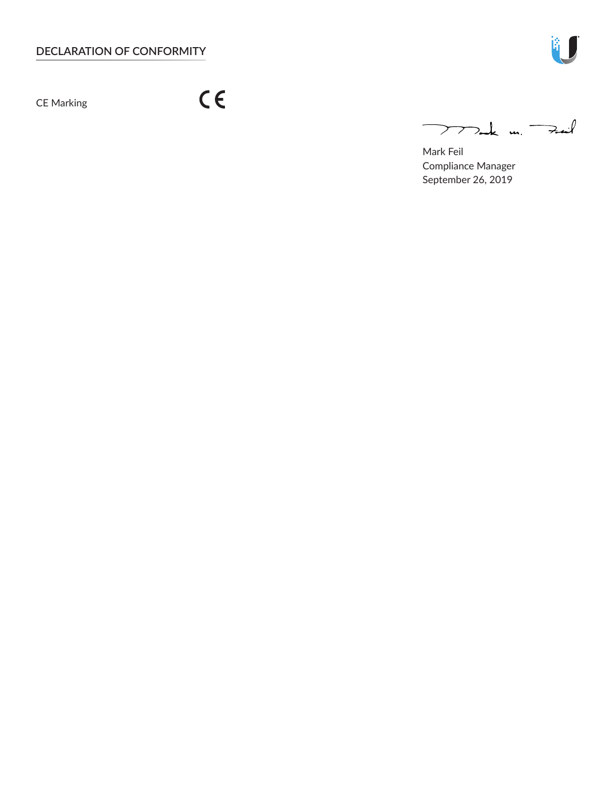CE Marking

 $C \in$ 

 $772$ ak m. Fail

Mark Feil Compliance Manager September 26, 2019

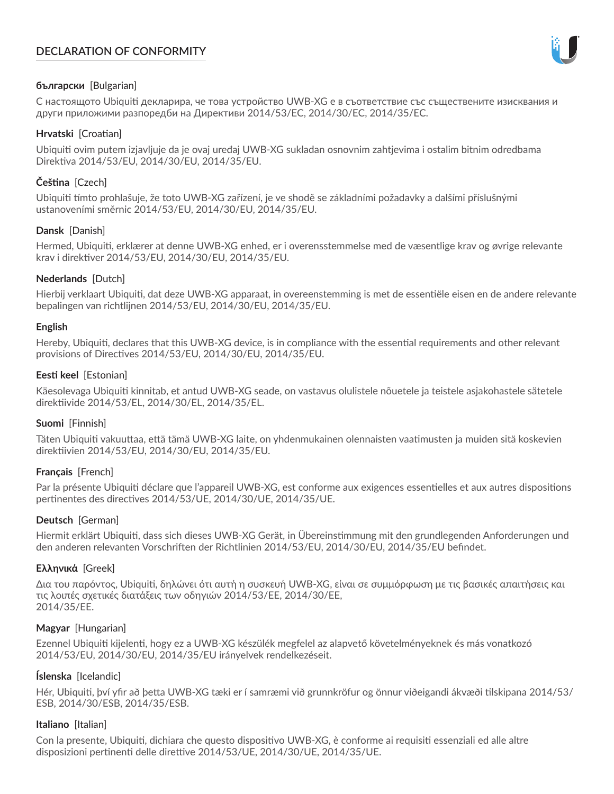# **DECLARATION OF CONFORMITY**



# **български** [Bulgarian]

С настоящото Ubiquiti декларира, че това устройство UWB-XG е в съответствие със съществените изисквания и други приложими разпоредби на Директиви 2014/53/EC, 2014/30/ЕС, 2014/35/ЕС.

## **Hrvatski** [Croatian]

Ubiquiti ovim putem izjavljuje da je ovaj uređaj UWB-XG sukladan osnovnim zahtjevima i ostalim bitnim odredbama Direktiva 2014/53/EU, 2014/30/EU, 2014/35/EU.

# **Čeština** [Czech]

Ubiquiti tímto prohlašuje, že toto UWB-XG zařízení, je ve shodě se základními požadavky a dalšími příslušnými ustanoveními směrnic 2014/53/EU, 2014/30/EU, 2014/35/EU.

# **Dansk** [Danish]

Hermed, Ubiquiti, erklærer at denne UWB-XG enhed, er i overensstemmelse med de væsentlige krav og øvrige relevante krav i direktiver 2014/53/EU, 2014/30/EU, 2014/35/EU.

# **Nederlands** [Dutch]

Hierbij verklaart Ubiquiti, dat deze UWB-XG apparaat, in overeenstemming is met de essentiële eisen en de andere relevante bepalingen van richtlijnen 2014/53/EU, 2014/30/EU, 2014/35/EU.

## **English**

Hereby, Ubiquiti, declares that this UWB-XG device, is in compliance with the essential requirements and other relevant provisions of Directives 2014/53/EU, 2014/30/EU, 2014/35/EU.

# **Eesti keel** [Estonian]

Käesolevaga Ubiquiti kinnitab, et antud UWB-XG seade, on vastavus olulistele nõuetele ja teistele asjakohastele sätetele direktiivide 2014/53/EL, 2014/30/EL, 2014/35/EL.

## **Suomi** [Finnish]

Täten Ubiquiti vakuuttaa, että tämä UWB-XG laite, on yhdenmukainen olennaisten vaatimusten ja muiden sitä koskevien direktiivien 2014/53/EU, 2014/30/EU, 2014/35/EU.

## **Français** [French]

Par la présente Ubiquiti déclare que l'appareil UWB-XG, est conforme aux exigences essentielles et aux autres dispositions pertinentes des directives 2014/53/UE, 2014/30/UE, 2014/35/UE.

## **Deutsch** [German]

Hiermit erklärt Ubiquiti, dass sich dieses UWB-XG Gerät, in Übereinstimmung mit den grundlegenden Anforderungen und den anderen relevanten Vorschriften der Richtlinien 2014/53/EU, 2014/30/EU, 2014/35/EU befindet.

## **Ελληνικά** [Greek]

Δια του παρόντος, Ubiquiti, δηλώνει ότι αυτή η συσκευή UWB-XG, είναι σε συμμόρφωση με τις βασικές απαιτήσεις και τις λοιπές σχετικές διατάξεις των οδηγιών 2014/53/EE, 2014/30/EE, 2014/35/EE.

## **Magyar** [Hungarian]

Ezennel Ubiquiti kijelenti, hogy ez a UWB-XG készülék megfelel az alapvető követelményeknek és más vonatkozó 2014/53/EU, 2014/30/EU, 2014/35/EU irányelvek rendelkezéseit.

## **Íslenska** [Icelandic]

Hér, Ubiquiti, því yfir að þetta UWB-XG tæki er í samræmi við grunnkröfur og önnur viðeigandi ákvæði tilskipana 2014/53/ ESB, 2014/30/ESB, 2014/35/ESB.

## **Italiano** [Italian]

Con la presente, Ubiquiti, dichiara che questo dispositivo UWB-XG, è conforme ai requisiti essenziali ed alle altre disposizioni pertinenti delle direttive 2014/53/UE, 2014/30/UE, 2014/35/UE.